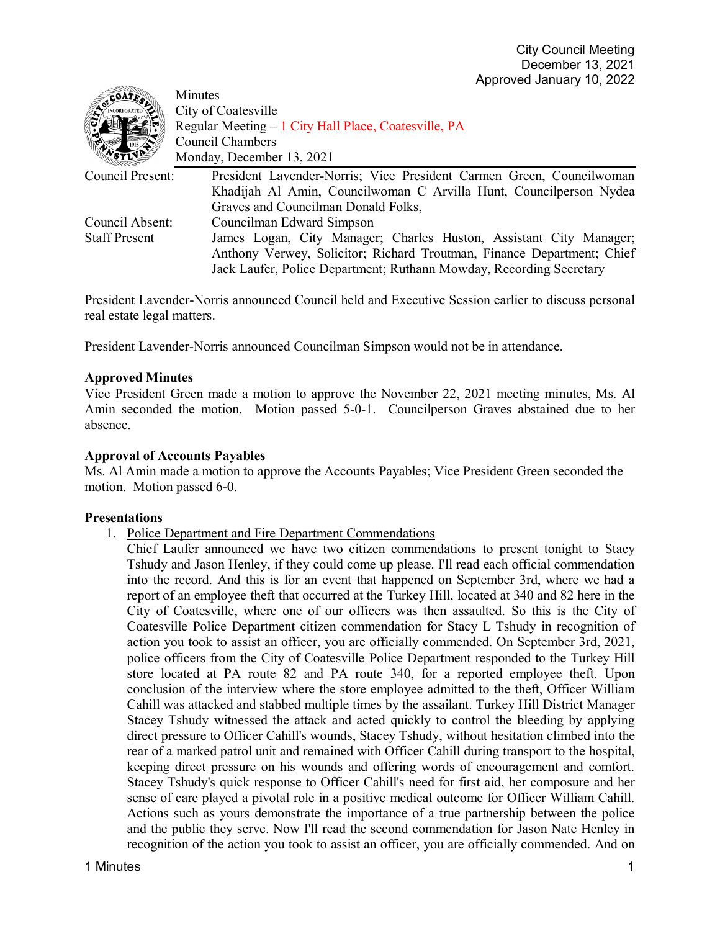| COATE.               | Minutes                                                                |
|----------------------|------------------------------------------------------------------------|
|                      | City of Coatesville                                                    |
|                      | Regular Meeting – 1 City Hall Place, Coatesville, PA                   |
|                      | Council Chambers                                                       |
|                      | Monday, December 13, 2021                                              |
| Council Present:     | President Lavender-Norris; Vice President Carmen Green, Councilwoman   |
|                      | Khadijah Al Amin, Councilwoman C Arvilla Hunt, Councilperson Nydea     |
|                      | Graves and Councilman Donald Folks,                                    |
| Council Absent:      | Councilman Edward Simpson                                              |
| <b>Staff Present</b> | James Logan, City Manager; Charles Huston, Assistant City Manager;     |
|                      | Anthony Verwey, Solicitor; Richard Troutman, Finance Department; Chief |
|                      | Jack Laufer, Police Department; Ruthann Mowday, Recording Secretary    |

President Lavender-Norris announced Council held and Executive Session earlier to discuss personal real estate legal matters.

President Lavender-Norris announced Councilman Simpson would not be in attendance.

#### **Approved Minutes**

Vice President Green made a motion to approve the November 22, 2021 meeting minutes, Ms. Al Amin seconded the motion. Motion passed 5-0-1. Councilperson Graves abstained due to her absence.

#### **Approval of Accounts Payables**

Ms. Al Amin made a motion to approve the Accounts Payables; Vice President Green seconded the motion. Motion passed 6-0.

#### **Presentations**

- 1. Police Department and Fire Department Commendations
	- Chief Laufer announced we have two citizen commendations to present tonight to Stacy Tshudy and Jason Henley, if they could come up please. I'll read each official commendation into the record. And this is for an event that happened on September 3rd, where we had a report of an employee theft that occurred at the Turkey Hill, located at 340 and 82 here in the City of Coatesville, where one of our officers was then assaulted. So this is the City of Coatesville Police Department citizen commendation for Stacy L Tshudy in recognition of action you took to assist an officer, you are officially commended. On September 3rd, 2021, police officers from the City of Coatesville Police Department responded to the Turkey Hill store located at PA route 82 and PA route 340, for a reported employee theft. Upon conclusion of the interview where the store employee admitted to the theft, Officer William Cahill was attacked and stabbed multiple times by the assailant. Turkey Hill District Manager Stacey Tshudy witnessed the attack and acted quickly to control the bleeding by applying direct pressure to Officer Cahill's wounds, Stacey Tshudy, without hesitation climbed into the rear of a marked patrol unit and remained with Officer Cahill during transport to the hospital, keeping direct pressure on his wounds and offering words of encouragement and comfort. Stacey Tshudy's quick response to Officer Cahill's need for first aid, her composure and her sense of care played a pivotal role in a positive medical outcome for Officer William Cahill. Actions such as yours demonstrate the importance of a true partnership between the police and the public they serve. Now I'll read the second commendation for Jason Nate Henley in recognition of the action you took to assist an officer, you are officially commended. And on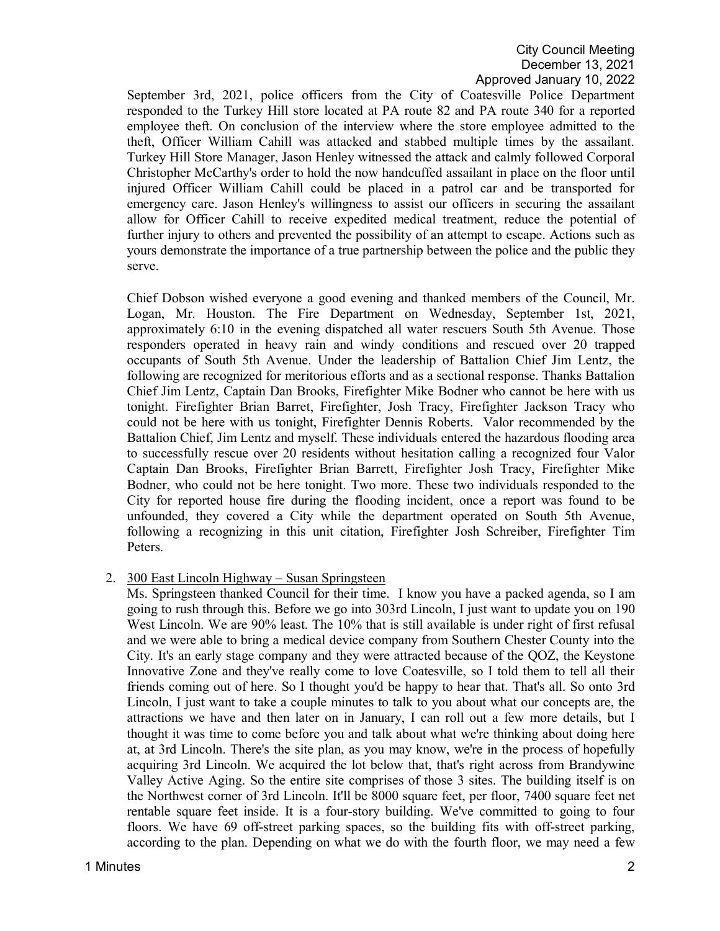September 3rd, 2021, police officers from the City of Coatesville Police Department responded to the Turkey Hill store located at PA route 82 and PA route 340 for a reported employee theft. On conclusion of the interview where the store employee admitted to the theft, Officer William Cahill was attacked and stabbed multiple times by the assailant. Turkey Hill Store Manager, Jason Henley witnessed the attack and calmly followed Corporal Christopher McCarthy's order to hold the now handcuffed assailant in place on the floor until injured Officer William Cahill could be placed in a patrol car and be transported for emergency care. Jason Henley's willingness to assist our officers in securing the assailant allow for Officer Cahill to receive expedited medical treatment, reduce the potential of further injury to others and prevented the possibility of an attempt to escape. Actions such as yours demonstrate the importance of a true partnership between the police and the public they serve.

Chief Dobson wished everyone a good evening and thanked members of the Council, Mr. Logan, Mr. Houston. The Fire Department on Wednesday, September 1st, 2021, approximately 6:10 in the evening dispatched all water rescuers South 5th Avenue. Those responders operated in heavy rain and windy conditions and rescued over 20 trapped occupants of South 5th Avenue. Under the leadership of Battalion Chief Jim Lentz, the following are recognized for meritorious efforts and as a sectional response. Thanks Battalion Chief Jim Lentz, Captain Dan Brooks, Firefighter Mike Bodner who cannot be here with us tonight. Firefighter Brian Barret, Firefighter, Josh Tracy, Firefighter Jackson Tracy who could not be here with us tonight, Firefighter Dennis Roberts. Valor recommended by the Battalion Chief, Jim Lentz and myself. These individuals entered the hazardous flooding area to successfully rescue over 20 residents without hesitation calling a recognized four Valor Captain Dan Brooks, Firefighter Brian Barrett, Firefighter Josh Tracy, Firefighter Mike Bodner, who could not be here tonight. Two more. These two individuals responded to the City for reported house fire during the flooding incident, once a report was found to be unfounded, they covered a City while the department operated on South 5th Avenue, following a recognizing in this unit citation, Firefighter Josh Schreiber, Firefighter Tim Peters.

2. 300 East Lincoln Highway – Susan Springsteen

Ms. Springsteen thanked Council for their time. I know you have a packed agenda, so I am going to rush through this. Before we go into 303rd Lincoln, I just want to update you on 190 West Lincoln. We are 90% least. The 10% that is still available is under right of first refusal and we were able to bring a medical device company from Southern Chester County into the City. It's an early stage company and they were attracted because of the QOZ, the Keystone Innovative Zone and they've really come to love Coatesville, so I told them to tell all their friends coming out of here. So I thought you'd be happy to hear that. That's all. So onto 3rd Lincoln, I just want to take a couple minutes to talk to you about what our concepts are, the attractions we have and then later on in January, I can roll out a few more details, but I thought it was time to come before you and talk about what we're thinking about doing here at, at 3rd Lincoln. There's the site plan, as you may know, we're in the process of hopefully acquiring 3rd Lincoln. We acquired the lot below that, that's right across from Brandywine Valley Active Aging. So the entire site comprises of those 3 sites. The building itself is on the Northwest corner of 3rd Lincoln. It'll be 8000 square feet, per floor, 7400 square feet net rentable square feet inside. It is a four-story building. We've committed to going to four floors. We have 69 off-street parking spaces, so the building fits with off-street parking, according to the plan. Depending on what we do with the fourth floor, we may need a few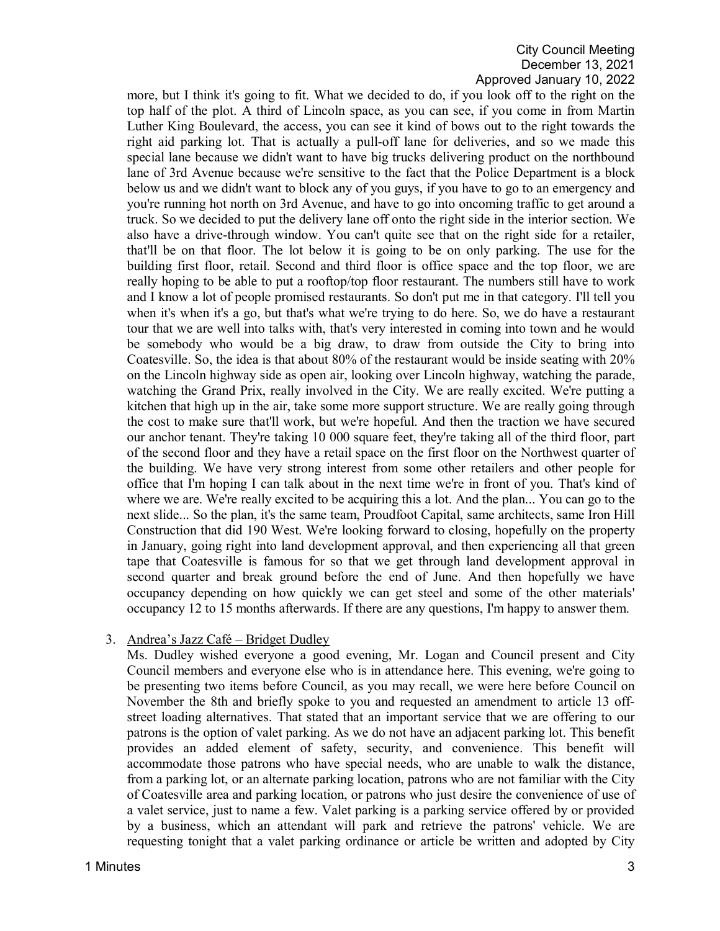more, but I think it's going to fit. What we decided to do, if you look off to the right on the top half of the plot. A third of Lincoln space, as you can see, if you come in from Martin Luther King Boulevard, the access, you can see it kind of bows out to the right towards the right aid parking lot. That is actually a pull-off lane for deliveries, and so we made this special lane because we didn't want to have big trucks delivering product on the northbound lane of 3rd Avenue because we're sensitive to the fact that the Police Department is a block below us and we didn't want to block any of you guys, if you have to go to an emergency and you're running hot north on 3rd Avenue, and have to go into oncoming traffic to get around a truck. So we decided to put the delivery lane off onto the right side in the interior section. We also have a drive-through window. You can't quite see that on the right side for a retailer, that'll be on that floor. The lot below it is going to be on only parking. The use for the building first floor, retail. Second and third floor is office space and the top floor, we are really hoping to be able to put a rooftop/top floor restaurant. The numbers still have to work and I know a lot of people promised restaurants. So don't put me in that category. I'll tell you when it's when it's a go, but that's what we're trying to do here. So, we do have a restaurant tour that we are well into talks with, that's very interested in coming into town and he would be somebody who would be a big draw, to draw from outside the City to bring into Coatesville. So, the idea is that about 80% of the restaurant would be inside seating with 20% on the Lincoln highway side as open air, looking over Lincoln highway, watching the parade, watching the Grand Prix, really involved in the City. We are really excited. We're putting a kitchen that high up in the air, take some more support structure. We are really going through the cost to make sure that'll work, but we're hopeful. And then the traction we have secured our anchor tenant. They're taking 10 000 square feet, they're taking all of the third floor, part of the second floor and they have a retail space on the first floor on the Northwest quarter of the building. We have very strong interest from some other retailers and other people for office that I'm hoping I can talk about in the next time we're in front of you. That's kind of where we are. We're really excited to be acquiring this a lot. And the plan... You can go to the next slide... So the plan, it's the same team, Proudfoot Capital, same architects, same Iron Hill Construction that did 190 West. We're looking forward to closing, hopefully on the property in January, going right into land development approval, and then experiencing all that green tape that Coatesville is famous for so that we get through land development approval in second quarter and break ground before the end of June. And then hopefully we have occupancy depending on how quickly we can get steel and some of the other materials' occupancy 12 to 15 months afterwards. If there are any questions, I'm happy to answer them.

## 3. Andrea's Jazz Café – Bridget Dudley

Ms. Dudley wished everyone a good evening, Mr. Logan and Council present and City Council members and everyone else who is in attendance here. This evening, we're going to be presenting two items before Council, as you may recall, we were here before Council on November the 8th and briefly spoke to you and requested an amendment to article 13 offstreet loading alternatives. That stated that an important service that we are offering to our patrons is the option of valet parking. As we do not have an adjacent parking lot. This benefit provides an added element of safety, security, and convenience. This benefit will accommodate those patrons who have special needs, who are unable to walk the distance, from a parking lot, or an alternate parking location, patrons who are not familiar with the City of Coatesville area and parking location, or patrons who just desire the convenience of use of a valet service, just to name a few. Valet parking is a parking service offered by or provided by a business, which an attendant will park and retrieve the patrons' vehicle. We are requesting tonight that a valet parking ordinance or article be written and adopted by City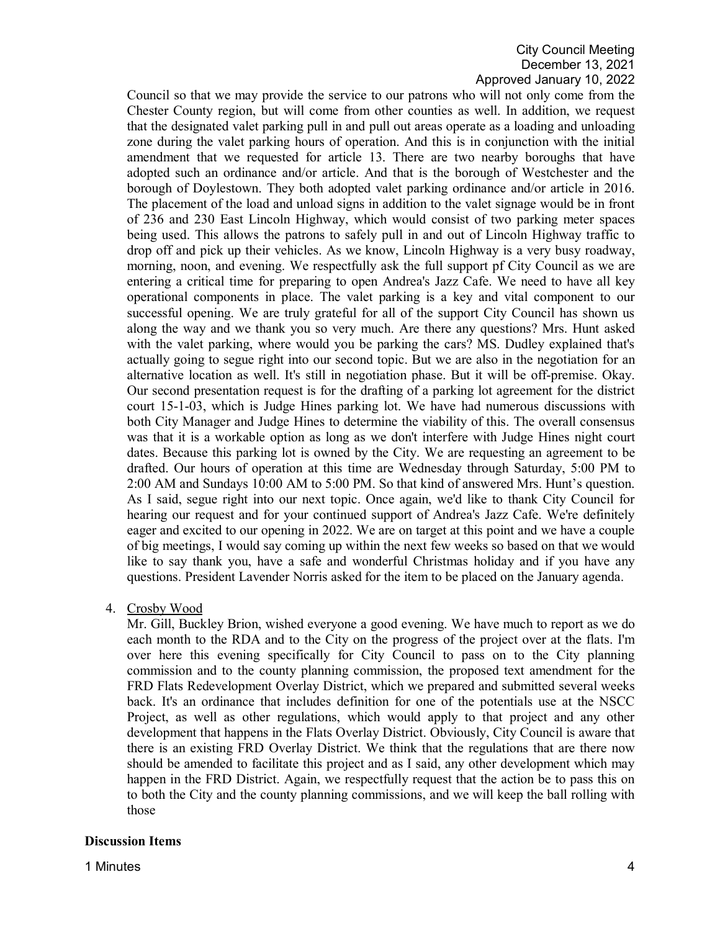Council so that we may provide the service to our patrons who will not only come from the Chester County region, but will come from other counties as well. In addition, we request that the designated valet parking pull in and pull out areas operate as a loading and unloading zone during the valet parking hours of operation. And this is in conjunction with the initial amendment that we requested for article 13. There are two nearby boroughs that have adopted such an ordinance and/or article. And that is the borough of Westchester and the borough of Doylestown. They both adopted valet parking ordinance and/or article in 2016. The placement of the load and unload signs in addition to the valet signage would be in front of 236 and 230 East Lincoln Highway, which would consist of two parking meter spaces being used. This allows the patrons to safely pull in and out of Lincoln Highway traffic to drop off and pick up their vehicles. As we know, Lincoln Highway is a very busy roadway, morning, noon, and evening. We respectfully ask the full support pf City Council as we are entering a critical time for preparing to open Andrea's Jazz Cafe. We need to have all key operational components in place. The valet parking is a key and vital component to our successful opening. We are truly grateful for all of the support City Council has shown us along the way and we thank you so very much. Are there any questions? Mrs. Hunt asked with the valet parking, where would you be parking the cars? MS. Dudley explained that's actually going to segue right into our second topic. But we are also in the negotiation for an alternative location as well. It's still in negotiation phase. But it will be off-premise. Okay. Our second presentation request is for the drafting of a parking lot agreement for the district court 15-1-03, which is Judge Hines parking lot. We have had numerous discussions with both City Manager and Judge Hines to determine the viability of this. The overall consensus was that it is a workable option as long as we don't interfere with Judge Hines night court dates. Because this parking lot is owned by the City. We are requesting an agreement to be drafted. Our hours of operation at this time are Wednesday through Saturday, 5:00 PM to 2:00 AM and Sundays 10:00 AM to 5:00 PM. So that kind of answered Mrs. Hunt's question. As I said, segue right into our next topic. Once again, we'd like to thank City Council for hearing our request and for your continued support of Andrea's Jazz Cafe. We're definitely eager and excited to our opening in 2022. We are on target at this point and we have a couple of big meetings, I would say coming up within the next few weeks so based on that we would like to say thank you, have a safe and wonderful Christmas holiday and if you have any questions. President Lavender Norris asked for the item to be placed on the January agenda.

4. Crosby Wood

Mr. Gill, Buckley Brion, wished everyone a good evening. We have much to report as we do each month to the RDA and to the City on the progress of the project over at the flats. I'm over here this evening specifically for City Council to pass on to the City planning commission and to the county planning commission, the proposed text amendment for the FRD Flats Redevelopment Overlay District, which we prepared and submitted several weeks back. It's an ordinance that includes definition for one of the potentials use at the NSCC Project, as well as other regulations, which would apply to that project and any other development that happens in the Flats Overlay District. Obviously, City Council is aware that there is an existing FRD Overlay District. We think that the regulations that are there now should be amended to facilitate this project and as I said, any other development which may happen in the FRD District. Again, we respectfully request that the action be to pass this on to both the City and the county planning commissions, and we will keep the ball rolling with those

## **Discussion Items**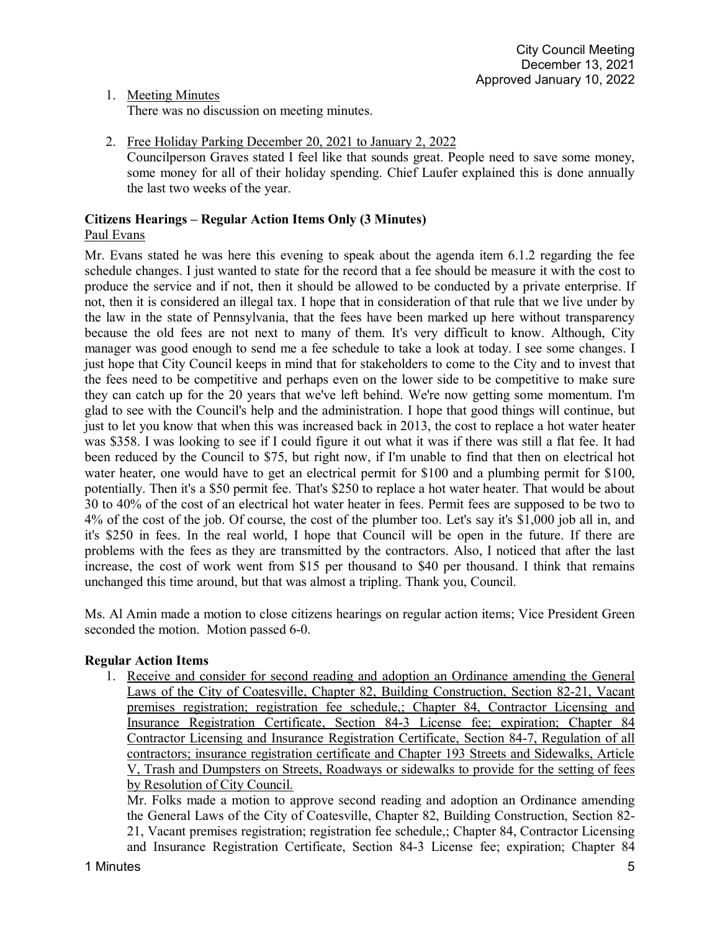1. Meeting Minutes

There was no discussion on meeting minutes.

2. Free Holiday Parking December 20, 2021 to January 2, 2022 Councilperson Graves stated I feel like that sounds great. People need to save some money, some money for all of their holiday spending. Chief Laufer explained this is done annually the last two weeks of the year.

## **Citizens Hearings – Regular Action Items Only (3 Minutes)** Paul Evans

Mr. Evans stated he was here this evening to speak about the agenda item 6.1.2 regarding the fee schedule changes. I just wanted to state for the record that a fee should be measure it with the cost to produce the service and if not, then it should be allowed to be conducted by a private enterprise. If not, then it is considered an illegal tax. I hope that in consideration of that rule that we live under by the law in the state of Pennsylvania, that the fees have been marked up here without transparency because the old fees are not next to many of them. It's very difficult to know. Although, City manager was good enough to send me a fee schedule to take a look at today. I see some changes. I just hope that City Council keeps in mind that for stakeholders to come to the City and to invest that the fees need to be competitive and perhaps even on the lower side to be competitive to make sure they can catch up for the 20 years that we've left behind. We're now getting some momentum. I'm glad to see with the Council's help and the administration. I hope that good things will continue, but just to let you know that when this was increased back in 2013, the cost to replace a hot water heater was \$358. I was looking to see if I could figure it out what it was if there was still a flat fee. It had been reduced by the Council to \$75, but right now, if I'm unable to find that then on electrical hot water heater, one would have to get an electrical permit for \$100 and a plumbing permit for \$100, potentially. Then it's a \$50 permit fee. That's \$250 to replace a hot water heater. That would be about 30 to 40% of the cost of an electrical hot water heater in fees. Permit fees are supposed to be two to 4% of the cost of the job. Of course, the cost of the plumber too. Let's say it's \$1,000 job all in, and it's \$250 in fees. In the real world, I hope that Council will be open in the future. If there are problems with the fees as they are transmitted by the contractors. Also, I noticed that after the last increase, the cost of work went from \$15 per thousand to \$40 per thousand. I think that remains unchanged this time around, but that was almost a tripling. Thank you, Council.

Ms. Al Amin made a motion to close citizens hearings on regular action items; Vice President Green seconded the motion. Motion passed 6-0.

## **Regular Action Items**

1. Receive and consider for second reading and adoption an Ordinance amending the General Laws of the City of Coatesville, Chapter 82, Building Construction, Section 82-21, Vacant premises registration; registration fee schedule,; Chapter 84, Contractor Licensing and Insurance Registration Certificate, Section 84-3 License fee; expiration; Chapter 84 Contractor Licensing and Insurance Registration Certificate, Section 84-7, Regulation of all contractors; insurance registration certificate and Chapter 193 Streets and Sidewalks, Article V, Trash and Dumpsters on Streets, Roadways or sidewalks to provide for the setting of fees by Resolution of City Council.

Mr. Folks made a motion to approve second reading and adoption an Ordinance amending the General Laws of the City of Coatesville, Chapter 82, Building Construction, Section 82- 21, Vacant premises registration; registration fee schedule,; Chapter 84, Contractor Licensing and Insurance Registration Certificate, Section 84-3 License fee; expiration; Chapter 84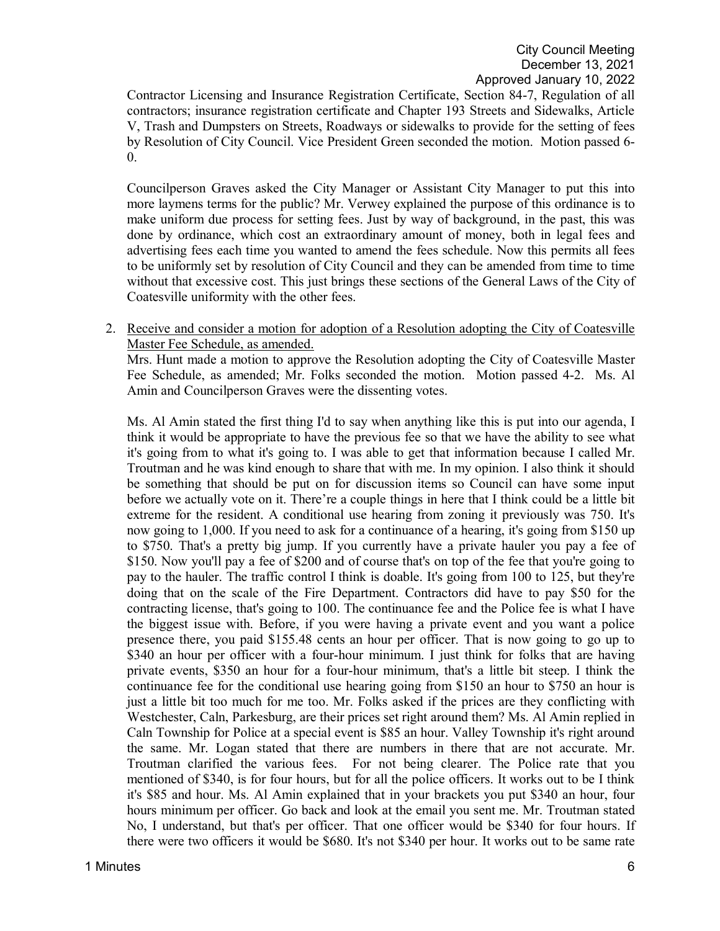Contractor Licensing and Insurance Registration Certificate, Section 84-7, Regulation of all contractors; insurance registration certificate and Chapter 193 Streets and Sidewalks, Article V, Trash and Dumpsters on Streets, Roadways or sidewalks to provide for the setting of fees by Resolution of City Council. Vice President Green seconded the motion. Motion passed 6- 0.

Councilperson Graves asked the City Manager or Assistant City Manager to put this into more laymens terms for the public? Mr. Verwey explained the purpose of this ordinance is to make uniform due process for setting fees. Just by way of background, in the past, this was done by ordinance, which cost an extraordinary amount of money, both in legal fees and advertising fees each time you wanted to amend the fees schedule. Now this permits all fees to be uniformly set by resolution of City Council and they can be amended from time to time without that excessive cost. This just brings these sections of the General Laws of the City of Coatesville uniformity with the other fees.

2. Receive and consider a motion for adoption of a Resolution adopting the City of Coatesville Master Fee Schedule, as amended.

Mrs. Hunt made a motion to approve the Resolution adopting the City of Coatesville Master Fee Schedule, as amended; Mr. Folks seconded the motion. Motion passed 4-2. Ms. Al Amin and Councilperson Graves were the dissenting votes.

Ms. Al Amin stated the first thing I'd to say when anything like this is put into our agenda, I think it would be appropriate to have the previous fee so that we have the ability to see what it's going from to what it's going to. I was able to get that information because I called Mr. Troutman and he was kind enough to share that with me. In my opinion. I also think it should be something that should be put on for discussion items so Council can have some input before we actually vote on it. There're a couple things in here that I think could be a little bit extreme for the resident. A conditional use hearing from zoning it previously was 750. It's now going to 1,000. If you need to ask for a continuance of a hearing, it's going from \$150 up to \$750. That's a pretty big jump. If you currently have a private hauler you pay a fee of \$150. Now you'll pay a fee of \$200 and of course that's on top of the fee that you're going to pay to the hauler. The traffic control I think is doable. It's going from 100 to 125, but they're doing that on the scale of the Fire Department. Contractors did have to pay \$50 for the contracting license, that's going to 100. The continuance fee and the Police fee is what I have the biggest issue with. Before, if you were having a private event and you want a police presence there, you paid \$155.48 cents an hour per officer. That is now going to go up to \$340 an hour per officer with a four-hour minimum. I just think for folks that are having private events, \$350 an hour for a four-hour minimum, that's a little bit steep. I think the continuance fee for the conditional use hearing going from \$150 an hour to \$750 an hour is just a little bit too much for me too. Mr. Folks asked if the prices are they conflicting with Westchester, Caln, Parkesburg, are their prices set right around them? Ms. Al Amin replied in Caln Township for Police at a special event is \$85 an hour. Valley Township it's right around the same. Mr. Logan stated that there are numbers in there that are not accurate. Mr. Troutman clarified the various fees. For not being clearer. The Police rate that you mentioned of \$340, is for four hours, but for all the police officers. It works out to be I think it's \$85 and hour. Ms. Al Amin explained that in your brackets you put \$340 an hour, four hours minimum per officer. Go back and look at the email you sent me. Mr. Troutman stated No, I understand, but that's per officer. That one officer would be \$340 for four hours. If there were two officers it would be \$680. It's not \$340 per hour. It works out to be same rate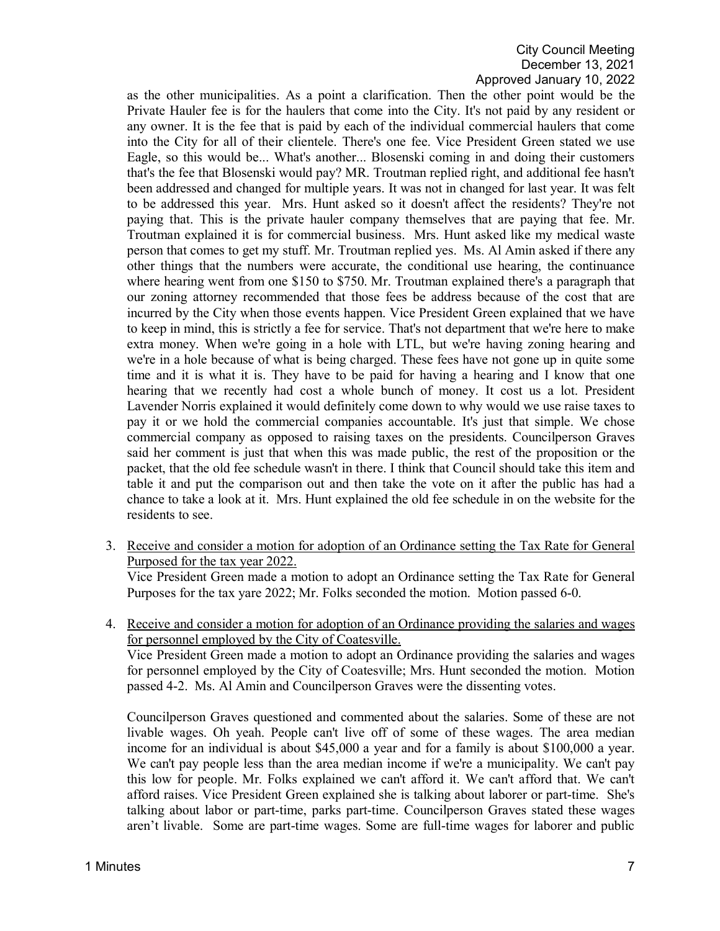as the other municipalities. As a point a clarification. Then the other point would be the Private Hauler fee is for the haulers that come into the City. It's not paid by any resident or any owner. It is the fee that is paid by each of the individual commercial haulers that come into the City for all of their clientele. There's one fee. Vice President Green stated we use Eagle, so this would be... What's another... Blosenski coming in and doing their customers that's the fee that Blosenski would pay? MR. Troutman replied right, and additional fee hasn't been addressed and changed for multiple years. It was not in changed for last year. It was felt to be addressed this year. Mrs. Hunt asked so it doesn't affect the residents? They're not paying that. This is the private hauler company themselves that are paying that fee. Mr. Troutman explained it is for commercial business. Mrs. Hunt asked like my medical waste person that comes to get my stuff. Mr. Troutman replied yes. Ms. Al Amin asked if there any other things that the numbers were accurate, the conditional use hearing, the continuance where hearing went from one \$150 to \$750. Mr. Troutman explained there's a paragraph that our zoning attorney recommended that those fees be address because of the cost that are incurred by the City when those events happen. Vice President Green explained that we have to keep in mind, this is strictly a fee for service. That's not department that we're here to make extra money. When we're going in a hole with LTL, but we're having zoning hearing and we're in a hole because of what is being charged. These fees have not gone up in quite some time and it is what it is. They have to be paid for having a hearing and I know that one hearing that we recently had cost a whole bunch of money. It cost us a lot. President Lavender Norris explained it would definitely come down to why would we use raise taxes to pay it or we hold the commercial companies accountable. It's just that simple. We chose commercial company as opposed to raising taxes on the presidents. Councilperson Graves said her comment is just that when this was made public, the rest of the proposition or the packet, that the old fee schedule wasn't in there. I think that Council should take this item and table it and put the comparison out and then take the vote on it after the public has had a chance to take a look at it. Mrs. Hunt explained the old fee schedule in on the website for the residents to see.

3. Receive and consider a motion for adoption of an Ordinance setting the Tax Rate for General Purposed for the tax year 2022.

Vice President Green made a motion to adopt an Ordinance setting the Tax Rate for General Purposes for the tax yare 2022; Mr. Folks seconded the motion. Motion passed 6-0.

4. Receive and consider a motion for adoption of an Ordinance providing the salaries and wages for personnel employed by the City of Coatesville. Vice President Green made a motion to adopt an Ordinance providing the salaries and wages for personnel employed by the City of Coatesville; Mrs. Hunt seconded the motion. Motion passed 4-2. Ms. Al Amin and Councilperson Graves were the dissenting votes.

Councilperson Graves questioned and commented about the salaries. Some of these are not livable wages. Oh yeah. People can't live off of some of these wages. The area median income for an individual is about \$45,000 a year and for a family is about \$100,000 a year. We can't pay people less than the area median income if we're a municipality. We can't pay this low for people. Mr. Folks explained we can't afford it. We can't afford that. We can't afford raises. Vice President Green explained she is talking about laborer or part-time. She's talking about labor or part-time, parks part-time. Councilperson Graves stated these wages aren't livable. Some are part-time wages. Some are full-time wages for laborer and public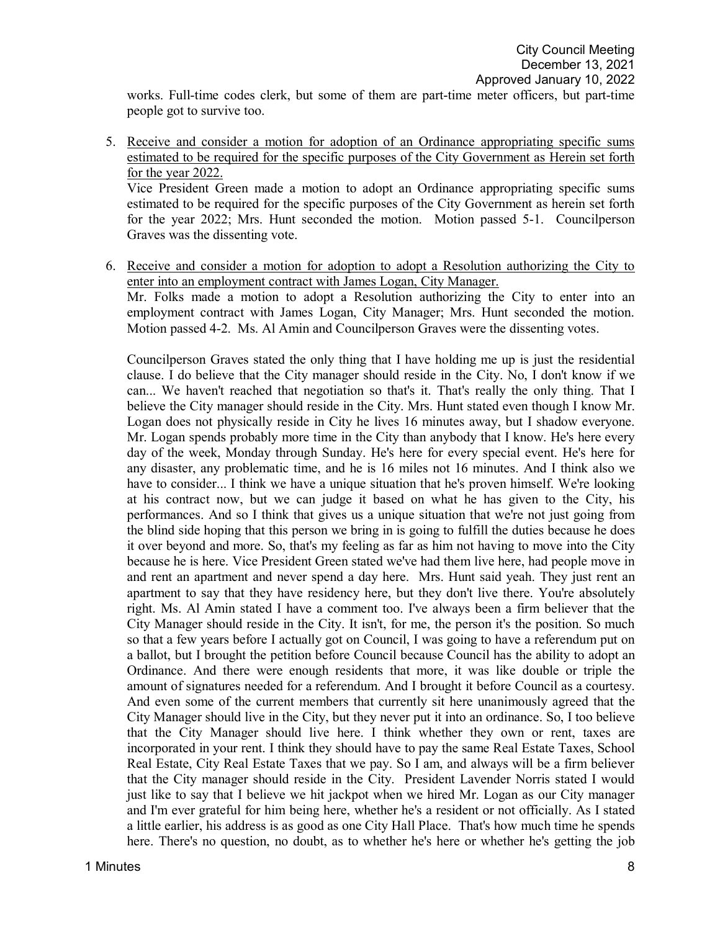works. Full-time codes clerk, but some of them are part-time meter officers, but part-time people got to survive too.

5. Receive and consider a motion for adoption of an Ordinance appropriating specific sums estimated to be required for the specific purposes of the City Government as Herein set forth for the year 2022. Vice President Green made a motion to adopt an Ordinance appropriating specific sums

estimated to be required for the specific purposes of the City Government as herein set forth for the year 2022; Mrs. Hunt seconded the motion. Motion passed 5-1. Councilperson Graves was the dissenting vote.

6. Receive and consider a motion for adoption to adopt a Resolution authorizing the City to enter into an employment contract with James Logan, City Manager. Mr. Folks made a motion to adopt a Resolution authorizing the City to enter into an employment contract with James Logan, City Manager; Mrs. Hunt seconded the motion. Motion passed 4-2. Ms. Al Amin and Councilperson Graves were the dissenting votes.

Councilperson Graves stated the only thing that I have holding me up is just the residential clause. I do believe that the City manager should reside in the City. No, I don't know if we can... We haven't reached that negotiation so that's it. That's really the only thing. That I believe the City manager should reside in the City. Mrs. Hunt stated even though I know Mr. Logan does not physically reside in City he lives 16 minutes away, but I shadow everyone. Mr. Logan spends probably more time in the City than anybody that I know. He's here every day of the week, Monday through Sunday. He's here for every special event. He's here for any disaster, any problematic time, and he is 16 miles not 16 minutes. And I think also we have to consider... I think we have a unique situation that he's proven himself. We're looking at his contract now, but we can judge it based on what he has given to the City, his performances. And so I think that gives us a unique situation that we're not just going from the blind side hoping that this person we bring in is going to fulfill the duties because he does it over beyond and more. So, that's my feeling as far as him not having to move into the City because he is here. Vice President Green stated we've had them live here, had people move in and rent an apartment and never spend a day here. Mrs. Hunt said yeah. They just rent an apartment to say that they have residency here, but they don't live there. You're absolutely right. Ms. Al Amin stated I have a comment too. I've always been a firm believer that the City Manager should reside in the City. It isn't, for me, the person it's the position. So much so that a few years before I actually got on Council, I was going to have a referendum put on a ballot, but I brought the petition before Council because Council has the ability to adopt an Ordinance. And there were enough residents that more, it was like double or triple the amount of signatures needed for a referendum. And I brought it before Council as a courtesy. And even some of the current members that currently sit here unanimously agreed that the City Manager should live in the City, but they never put it into an ordinance. So, I too believe that the City Manager should live here. I think whether they own or rent, taxes are incorporated in your rent. I think they should have to pay the same Real Estate Taxes, School Real Estate, City Real Estate Taxes that we pay. So I am, and always will be a firm believer that the City manager should reside in the City. President Lavender Norris stated I would just like to say that I believe we hit jackpot when we hired Mr. Logan as our City manager and I'm ever grateful for him being here, whether he's a resident or not officially. As I stated a little earlier, his address is as good as one City Hall Place. That's how much time he spends here. There's no question, no doubt, as to whether he's here or whether he's getting the job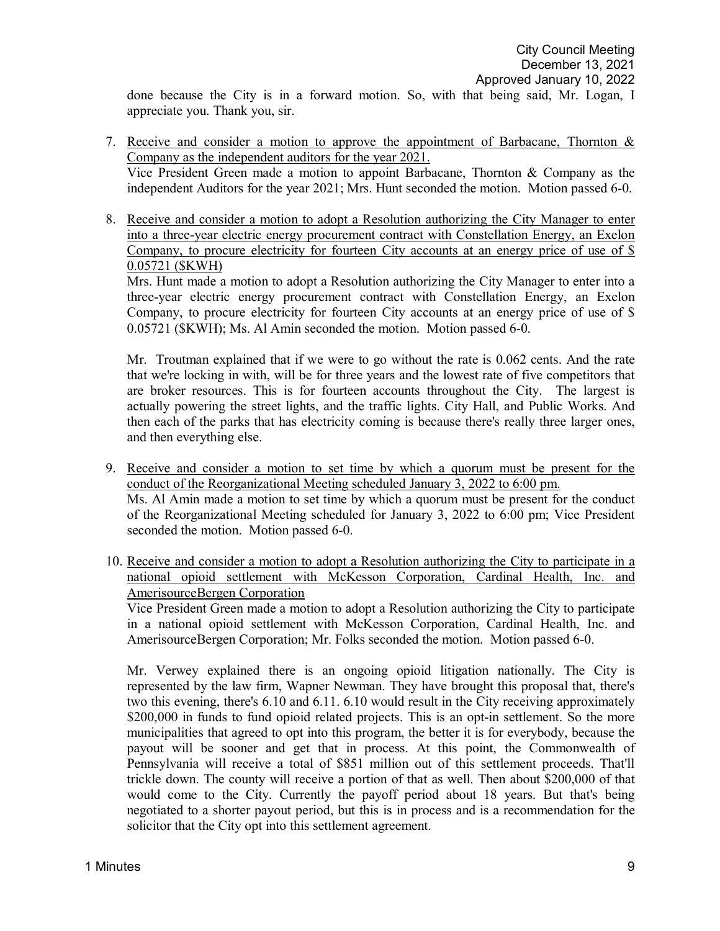done because the City is in a forward motion. So, with that being said, Mr. Logan, I appreciate you. Thank you, sir.

- 7. Receive and consider a motion to approve the appointment of Barbacane, Thornton & Company as the independent auditors for the year 2021. Vice President Green made a motion to appoint Barbacane, Thornton & Company as the independent Auditors for the year 2021; Mrs. Hunt seconded the motion. Motion passed 6-0.
- 8. Receive and consider a motion to adopt a Resolution authorizing the City Manager to enter into a three-year electric energy procurement contract with Constellation Energy, an Exelon Company, to procure electricity for fourteen City accounts at an energy price of use of \$ 0.05721 (\$KWH)

Mrs. Hunt made a motion to adopt a Resolution authorizing the City Manager to enter into a three-year electric energy procurement contract with Constellation Energy, an Exelon Company, to procure electricity for fourteen City accounts at an energy price of use of \$ 0.05721 (\$KWH); Ms. Al Amin seconded the motion. Motion passed 6-0.

Mr. Troutman explained that if we were to go without the rate is 0.062 cents. And the rate that we're locking in with, will be for three years and the lowest rate of five competitors that are broker resources. This is for fourteen accounts throughout the City. The largest is actually powering the street lights, and the traffic lights. City Hall, and Public Works. And then each of the parks that has electricity coming is because there's really three larger ones, and then everything else.

- 9. Receive and consider a motion to set time by which a quorum must be present for the conduct of the Reorganizational Meeting scheduled January 3, 2022 to 6:00 pm. Ms. Al Amin made a motion to set time by which a quorum must be present for the conduct of the Reorganizational Meeting scheduled for January 3, 2022 to 6:00 pm; Vice President seconded the motion. Motion passed 6-0.
- 10. Receive and consider a motion to adopt a Resolution authorizing the City to participate in a national opioid settlement with McKesson Corporation, Cardinal Health, Inc. and AmerisourceBergen Corporation

Vice President Green made a motion to adopt a Resolution authorizing the City to participate in a national opioid settlement with McKesson Corporation, Cardinal Health, Inc. and AmerisourceBergen Corporation; Mr. Folks seconded the motion. Motion passed 6-0.

Mr. Verwey explained there is an ongoing opioid litigation nationally. The City is represented by the law firm, Wapner Newman. They have brought this proposal that, there's two this evening, there's 6.10 and 6.11. 6.10 would result in the City receiving approximately \$200,000 in funds to fund opioid related projects. This is an opt-in settlement. So the more municipalities that agreed to opt into this program, the better it is for everybody, because the payout will be sooner and get that in process. At this point, the Commonwealth of Pennsylvania will receive a total of \$851 million out of this settlement proceeds. That'll trickle down. The county will receive a portion of that as well. Then about \$200,000 of that would come to the City. Currently the payoff period about 18 years. But that's being negotiated to a shorter payout period, but this is in process and is a recommendation for the solicitor that the City opt into this settlement agreement.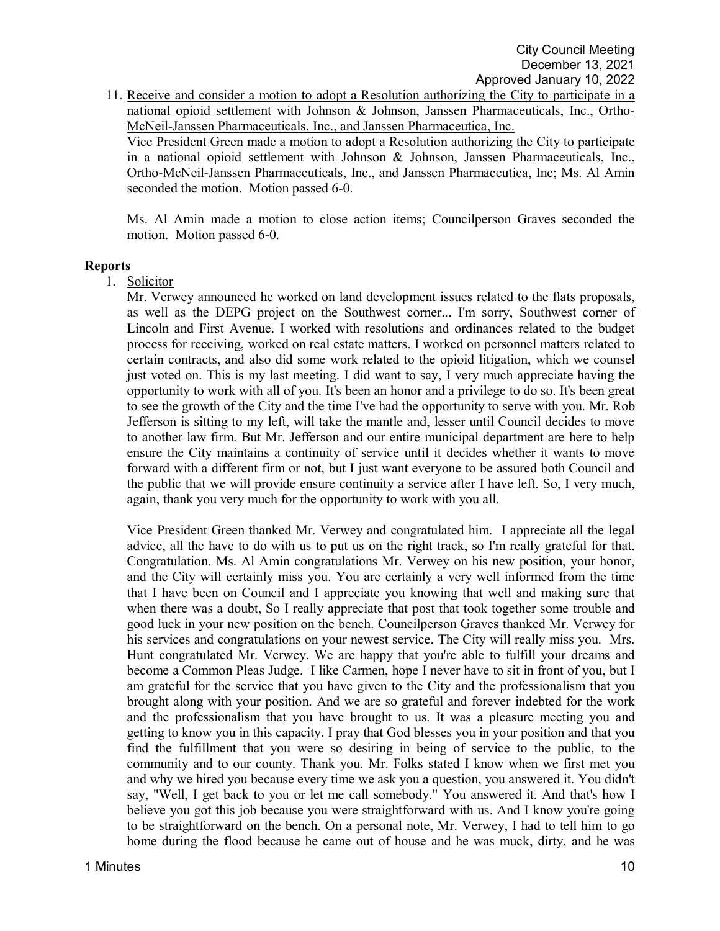11. Receive and consider a motion to adopt a Resolution authorizing the City to participate in a national opioid settlement with Johnson & Johnson, Janssen Pharmaceuticals, Inc., Ortho-McNeil-Janssen Pharmaceuticals, Inc., and Janssen Pharmaceutica, Inc.

Vice President Green made a motion to adopt a Resolution authorizing the City to participate in a national opioid settlement with Johnson & Johnson, Janssen Pharmaceuticals, Inc., Ortho-McNeil-Janssen Pharmaceuticals, Inc., and Janssen Pharmaceutica, Inc; Ms. Al Amin seconded the motion. Motion passed 6-0.

Ms. Al Amin made a motion to close action items; Councilperson Graves seconded the motion. Motion passed 6-0.

#### **Reports**

1. Solicitor

Mr. Verwey announced he worked on land development issues related to the flats proposals, as well as the DEPG project on the Southwest corner... I'm sorry, Southwest corner of Lincoln and First Avenue. I worked with resolutions and ordinances related to the budget process for receiving, worked on real estate matters. I worked on personnel matters related to certain contracts, and also did some work related to the opioid litigation, which we counsel just voted on. This is my last meeting. I did want to say, I very much appreciate having the opportunity to work with all of you. It's been an honor and a privilege to do so. It's been great to see the growth of the City and the time I've had the opportunity to serve with you. Mr. Rob Jefferson is sitting to my left, will take the mantle and, lesser until Council decides to move to another law firm. But Mr. Jefferson and our entire municipal department are here to help ensure the City maintains a continuity of service until it decides whether it wants to move forward with a different firm or not, but I just want everyone to be assured both Council and the public that we will provide ensure continuity a service after I have left. So, I very much, again, thank you very much for the opportunity to work with you all.

Vice President Green thanked Mr. Verwey and congratulated him. I appreciate all the legal advice, all the have to do with us to put us on the right track, so I'm really grateful for that. Congratulation. Ms. Al Amin congratulations Mr. Verwey on his new position, your honor, and the City will certainly miss you. You are certainly a very well informed from the time that I have been on Council and I appreciate you knowing that well and making sure that when there was a doubt, So I really appreciate that post that took together some trouble and good luck in your new position on the bench. Councilperson Graves thanked Mr. Verwey for his services and congratulations on your newest service. The City will really miss you. Mrs. Hunt congratulated Mr. Verwey. We are happy that you're able to fulfill your dreams and become a Common Pleas Judge. I like Carmen, hope I never have to sit in front of you, but I am grateful for the service that you have given to the City and the professionalism that you brought along with your position. And we are so grateful and forever indebted for the work and the professionalism that you have brought to us. It was a pleasure meeting you and getting to know you in this capacity. I pray that God blesses you in your position and that you find the fulfillment that you were so desiring in being of service to the public, to the community and to our county. Thank you. Mr. Folks stated I know when we first met you and why we hired you because every time we ask you a question, you answered it. You didn't say, "Well, I get back to you or let me call somebody." You answered it. And that's how I believe you got this job because you were straightforward with us. And I know you're going to be straightforward on the bench. On a personal note, Mr. Verwey, I had to tell him to go home during the flood because he came out of house and he was muck, dirty, and he was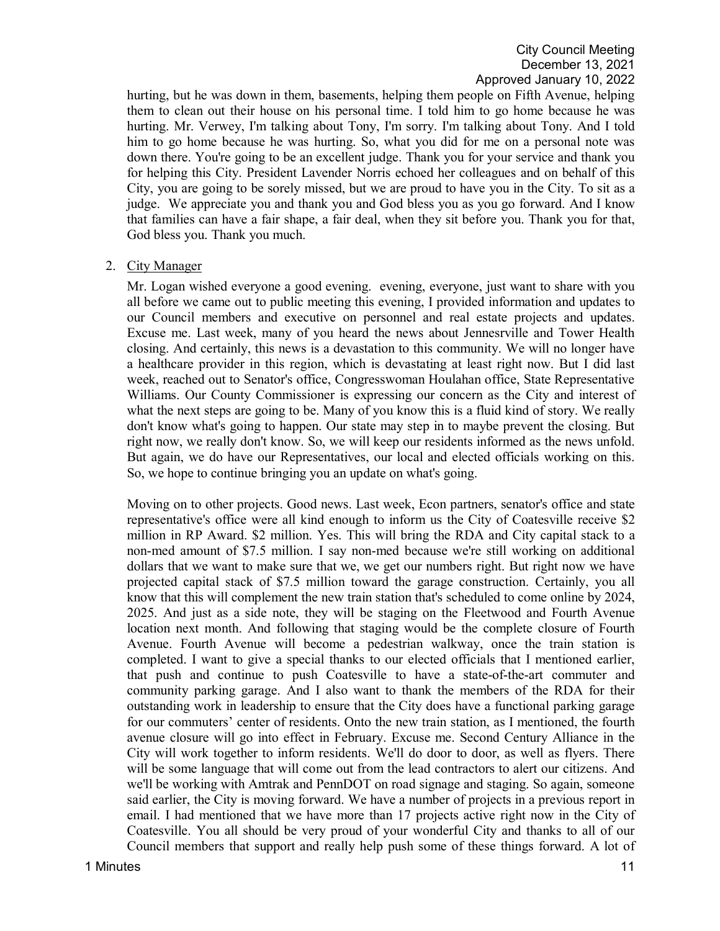hurting, but he was down in them, basements, helping them people on Fifth Avenue, helping them to clean out their house on his personal time. I told him to go home because he was hurting. Mr. Verwey, I'm talking about Tony, I'm sorry. I'm talking about Tony. And I told him to go home because he was hurting. So, what you did for me on a personal note was down there. You're going to be an excellent judge. Thank you for your service and thank you for helping this City. President Lavender Norris echoed her colleagues and on behalf of this City, you are going to be sorely missed, but we are proud to have you in the City. To sit as a judge. We appreciate you and thank you and God bless you as you go forward. And I know that families can have a fair shape, a fair deal, when they sit before you. Thank you for that, God bless you. Thank you much.

2. City Manager

Mr. Logan wished everyone a good evening. evening, everyone, just want to share with you all before we came out to public meeting this evening, I provided information and updates to our Council members and executive on personnel and real estate projects and updates. Excuse me. Last week, many of you heard the news about Jennesrville and Tower Health closing. And certainly, this news is a devastation to this community. We will no longer have a healthcare provider in this region, which is devastating at least right now. But I did last week, reached out to Senator's office, Congresswoman Houlahan office, State Representative Williams. Our County Commissioner is expressing our concern as the City and interest of what the next steps are going to be. Many of you know this is a fluid kind of story. We really don't know what's going to happen. Our state may step in to maybe prevent the closing. But right now, we really don't know. So, we will keep our residents informed as the news unfold. But again, we do have our Representatives, our local and elected officials working on this. So, we hope to continue bringing you an update on what's going.

Moving on to other projects. Good news. Last week, Econ partners, senator's office and state representative's office were all kind enough to inform us the City of Coatesville receive \$2 million in RP Award. \$2 million. Yes. This will bring the RDA and City capital stack to a non-med amount of \$7.5 million. I say non-med because we're still working on additional dollars that we want to make sure that we, we get our numbers right. But right now we have projected capital stack of \$7.5 million toward the garage construction. Certainly, you all know that this will complement the new train station that's scheduled to come online by 2024, 2025. And just as a side note, they will be staging on the Fleetwood and Fourth Avenue location next month. And following that staging would be the complete closure of Fourth Avenue. Fourth Avenue will become a pedestrian walkway, once the train station is completed. I want to give a special thanks to our elected officials that I mentioned earlier, that push and continue to push Coatesville to have a state-of-the-art commuter and community parking garage. And I also want to thank the members of the RDA for their outstanding work in leadership to ensure that the City does have a functional parking garage for our commuters' center of residents. Onto the new train station, as I mentioned, the fourth avenue closure will go into effect in February. Excuse me. Second Century Alliance in the City will work together to inform residents. We'll do door to door, as well as flyers. There will be some language that will come out from the lead contractors to alert our citizens. And we'll be working with Amtrak and PennDOT on road signage and staging. So again, someone said earlier, the City is moving forward. We have a number of projects in a previous report in email. I had mentioned that we have more than 17 projects active right now in the City of Coatesville. You all should be very proud of your wonderful City and thanks to all of our Council members that support and really help push some of these things forward. A lot of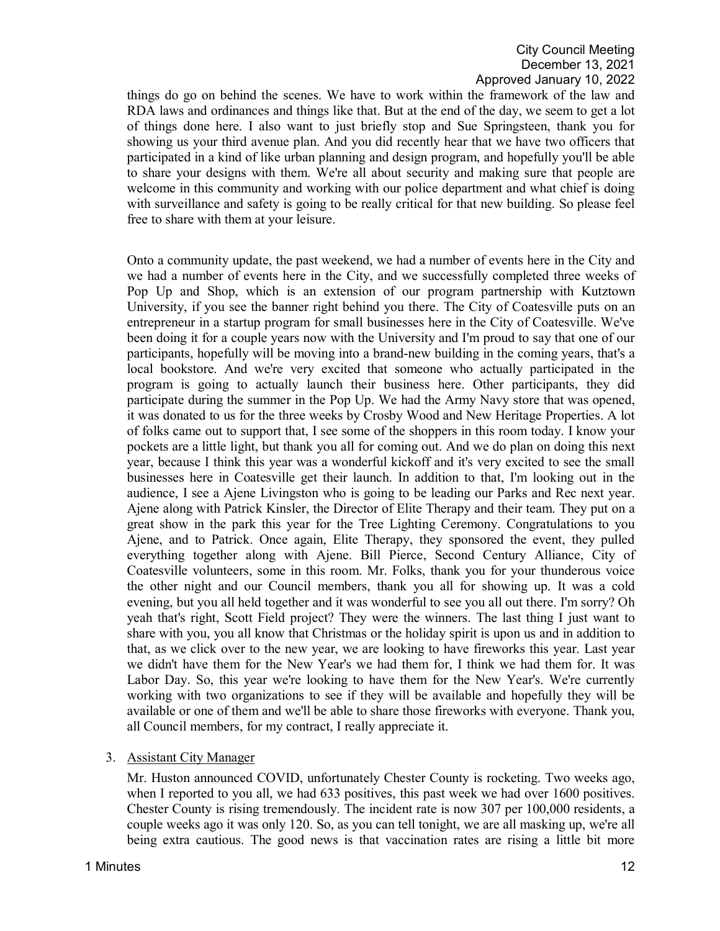things do go on behind the scenes. We have to work within the framework of the law and RDA laws and ordinances and things like that. But at the end of the day, we seem to get a lot of things done here. I also want to just briefly stop and Sue Springsteen, thank you for showing us your third avenue plan. And you did recently hear that we have two officers that participated in a kind of like urban planning and design program, and hopefully you'll be able to share your designs with them. We're all about security and making sure that people are welcome in this community and working with our police department and what chief is doing with surveillance and safety is going to be really critical for that new building. So please feel free to share with them at your leisure.

Onto a community update, the past weekend, we had a number of events here in the City and we had a number of events here in the City, and we successfully completed three weeks of Pop Up and Shop, which is an extension of our program partnership with Kutztown University, if you see the banner right behind you there. The City of Coatesville puts on an entrepreneur in a startup program for small businesses here in the City of Coatesville. We've been doing it for a couple years now with the University and I'm proud to say that one of our participants, hopefully will be moving into a brand-new building in the coming years, that's a local bookstore. And we're very excited that someone who actually participated in the program is going to actually launch their business here. Other participants, they did participate during the summer in the Pop Up. We had the Army Navy store that was opened, it was donated to us for the three weeks by Crosby Wood and New Heritage Properties. A lot of folks came out to support that, I see some of the shoppers in this room today. I know your pockets are a little light, but thank you all for coming out. And we do plan on doing this next year, because I think this year was a wonderful kickoff and it's very excited to see the small businesses here in Coatesville get their launch. In addition to that, I'm looking out in the audience, I see a Ajene Livingston who is going to be leading our Parks and Rec next year. Ajene along with Patrick Kinsler, the Director of Elite Therapy and their team. They put on a great show in the park this year for the Tree Lighting Ceremony. Congratulations to you Ajene, and to Patrick. Once again, Elite Therapy, they sponsored the event, they pulled everything together along with Ajene. Bill Pierce, Second Century Alliance, City of Coatesville volunteers, some in this room. Mr. Folks, thank you for your thunderous voice the other night and our Council members, thank you all for showing up. It was a cold evening, but you all held together and it was wonderful to see you all out there. I'm sorry? Oh yeah that's right, Scott Field project? They were the winners. The last thing I just want to share with you, you all know that Christmas or the holiday spirit is upon us and in addition to that, as we click over to the new year, we are looking to have fireworks this year. Last year we didn't have them for the New Year's we had them for, I think we had them for. It was Labor Day. So, this year we're looking to have them for the New Year's. We're currently working with two organizations to see if they will be available and hopefully they will be available or one of them and we'll be able to share those fireworks with everyone. Thank you, all Council members, for my contract, I really appreciate it.

#### 3. Assistant City Manager

Mr. Huston announced COVID, unfortunately Chester County is rocketing. Two weeks ago, when I reported to you all, we had 633 positives, this past week we had over 1600 positives. Chester County is rising tremendously. The incident rate is now 307 per 100,000 residents, a couple weeks ago it was only 120. So, as you can tell tonight, we are all masking up, we're all being extra cautious. The good news is that vaccination rates are rising a little bit more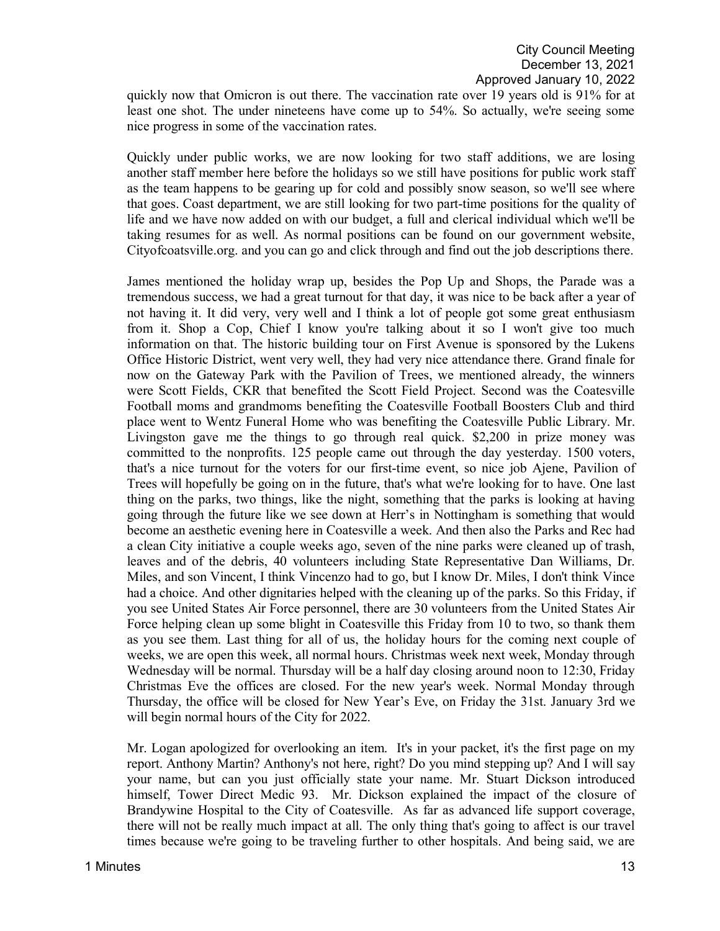quickly now that Omicron is out there. The vaccination rate over 19 years old is 91% for at least one shot. The under nineteens have come up to 54%. So actually, we're seeing some nice progress in some of the vaccination rates.

Quickly under public works, we are now looking for two staff additions, we are losing another staff member here before the holidays so we still have positions for public work staff as the team happens to be gearing up for cold and possibly snow season, so we'll see where that goes. Coast department, we are still looking for two part-time positions for the quality of life and we have now added on with our budget, a full and clerical individual which we'll be taking resumes for as well. As normal positions can be found on our government website, Cityofcoatsville.org. and you can go and click through and find out the job descriptions there.

James mentioned the holiday wrap up, besides the Pop Up and Shops, the Parade was a tremendous success, we had a great turnout for that day, it was nice to be back after a year of not having it. It did very, very well and I think a lot of people got some great enthusiasm from it. Shop a Cop, Chief I know you're talking about it so I won't give too much information on that. The historic building tour on First Avenue is sponsored by the Lukens Office Historic District, went very well, they had very nice attendance there. Grand finale for now on the Gateway Park with the Pavilion of Trees, we mentioned already, the winners were Scott Fields, CKR that benefited the Scott Field Project. Second was the Coatesville Football moms and grandmoms benefiting the Coatesville Football Boosters Club and third place went to Wentz Funeral Home who was benefiting the Coatesville Public Library. Mr. Livingston gave me the things to go through real quick. \$2,200 in prize money was committed to the nonprofits. 125 people came out through the day yesterday. 1500 voters, that's a nice turnout for the voters for our first-time event, so nice job Ajene, Pavilion of Trees will hopefully be going on in the future, that's what we're looking for to have. One last thing on the parks, two things, like the night, something that the parks is looking at having going through the future like we see down at Herr's in Nottingham is something that would become an aesthetic evening here in Coatesville a week. And then also the Parks and Rec had a clean City initiative a couple weeks ago, seven of the nine parks were cleaned up of trash, leaves and of the debris, 40 volunteers including State Representative Dan Williams, Dr. Miles, and son Vincent, I think Vincenzo had to go, but I know Dr. Miles, I don't think Vince had a choice. And other dignitaries helped with the cleaning up of the parks. So this Friday, if you see United States Air Force personnel, there are 30 volunteers from the United States Air Force helping clean up some blight in Coatesville this Friday from 10 to two, so thank them as you see them. Last thing for all of us, the holiday hours for the coming next couple of weeks, we are open this week, all normal hours. Christmas week next week, Monday through Wednesday will be normal. Thursday will be a half day closing around noon to 12:30, Friday Christmas Eve the offices are closed. For the new year's week. Normal Monday through Thursday, the office will be closed for New Year's Eve, on Friday the 31st. January 3rd we will begin normal hours of the City for 2022.

Mr. Logan apologized for overlooking an item. It's in your packet, it's the first page on my report. Anthony Martin? Anthony's not here, right? Do you mind stepping up? And I will say your name, but can you just officially state your name. Mr. Stuart Dickson introduced himself, Tower Direct Medic 93. Mr. Dickson explained the impact of the closure of Brandywine Hospital to the City of Coatesville. As far as advanced life support coverage, there will not be really much impact at all. The only thing that's going to affect is our travel times because we're going to be traveling further to other hospitals. And being said, we are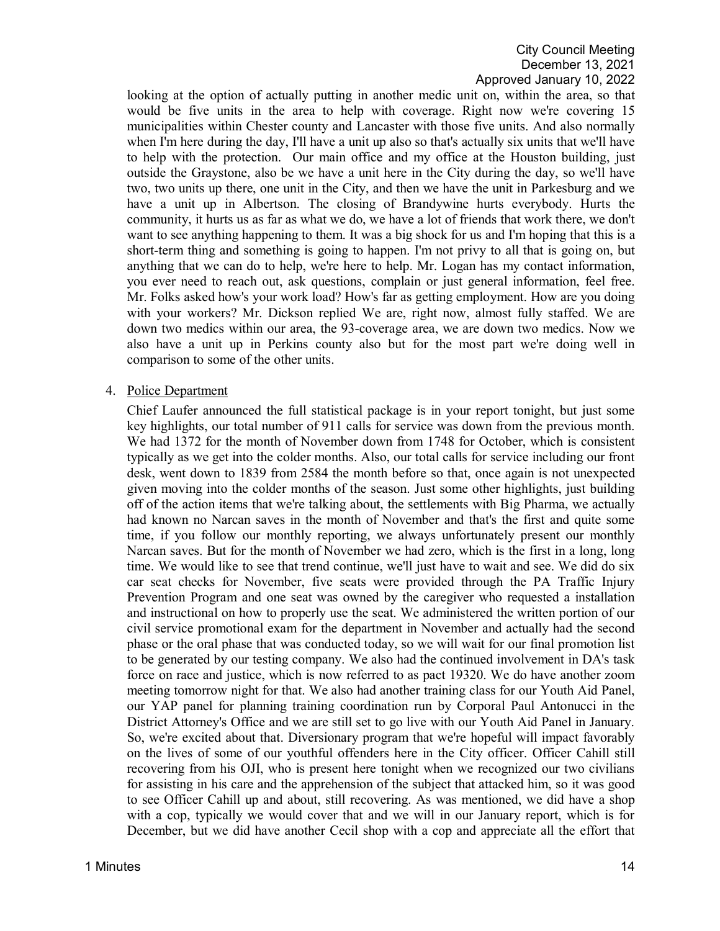looking at the option of actually putting in another medic unit on, within the area, so that would be five units in the area to help with coverage. Right now we're covering 15 municipalities within Chester county and Lancaster with those five units. And also normally when I'm here during the day, I'll have a unit up also so that's actually six units that we'll have to help with the protection. Our main office and my office at the Houston building, just outside the Graystone, also be we have a unit here in the City during the day, so we'll have two, two units up there, one unit in the City, and then we have the unit in Parkesburg and we have a unit up in Albertson. The closing of Brandywine hurts everybody. Hurts the community, it hurts us as far as what we do, we have a lot of friends that work there, we don't want to see anything happening to them. It was a big shock for us and I'm hoping that this is a short-term thing and something is going to happen. I'm not privy to all that is going on, but anything that we can do to help, we're here to help. Mr. Logan has my contact information, you ever need to reach out, ask questions, complain or just general information, feel free. Mr. Folks asked how's your work load? How's far as getting employment. How are you doing with your workers? Mr. Dickson replied We are, right now, almost fully staffed. We are down two medics within our area, the 93-coverage area, we are down two medics. Now we also have a unit up in Perkins county also but for the most part we're doing well in comparison to some of the other units.

#### 4. Police Department

Chief Laufer announced the full statistical package is in your report tonight, but just some key highlights, our total number of 911 calls for service was down from the previous month. We had 1372 for the month of November down from 1748 for October, which is consistent typically as we get into the colder months. Also, our total calls for service including our front desk, went down to 1839 from 2584 the month before so that, once again is not unexpected given moving into the colder months of the season. Just some other highlights, just building off of the action items that we're talking about, the settlements with Big Pharma, we actually had known no Narcan saves in the month of November and that's the first and quite some time, if you follow our monthly reporting, we always unfortunately present our monthly Narcan saves. But for the month of November we had zero, which is the first in a long, long time. We would like to see that trend continue, we'll just have to wait and see. We did do six car seat checks for November, five seats were provided through the PA Traffic Injury Prevention Program and one seat was owned by the caregiver who requested a installation and instructional on how to properly use the seat. We administered the written portion of our civil service promotional exam for the department in November and actually had the second phase or the oral phase that was conducted today, so we will wait for our final promotion list to be generated by our testing company. We also had the continued involvement in DA's task force on race and justice, which is now referred to as pact 19320. We do have another zoom meeting tomorrow night for that. We also had another training class for our Youth Aid Panel, our YAP panel for planning training coordination run by Corporal Paul Antonucci in the District Attorney's Office and we are still set to go live with our Youth Aid Panel in January. So, we're excited about that. Diversionary program that we're hopeful will impact favorably on the lives of some of our youthful offenders here in the City officer. Officer Cahill still recovering from his OJI, who is present here tonight when we recognized our two civilians for assisting in his care and the apprehension of the subject that attacked him, so it was good to see Officer Cahill up and about, still recovering. As was mentioned, we did have a shop with a cop, typically we would cover that and we will in our January report, which is for December, but we did have another Cecil shop with a cop and appreciate all the effort that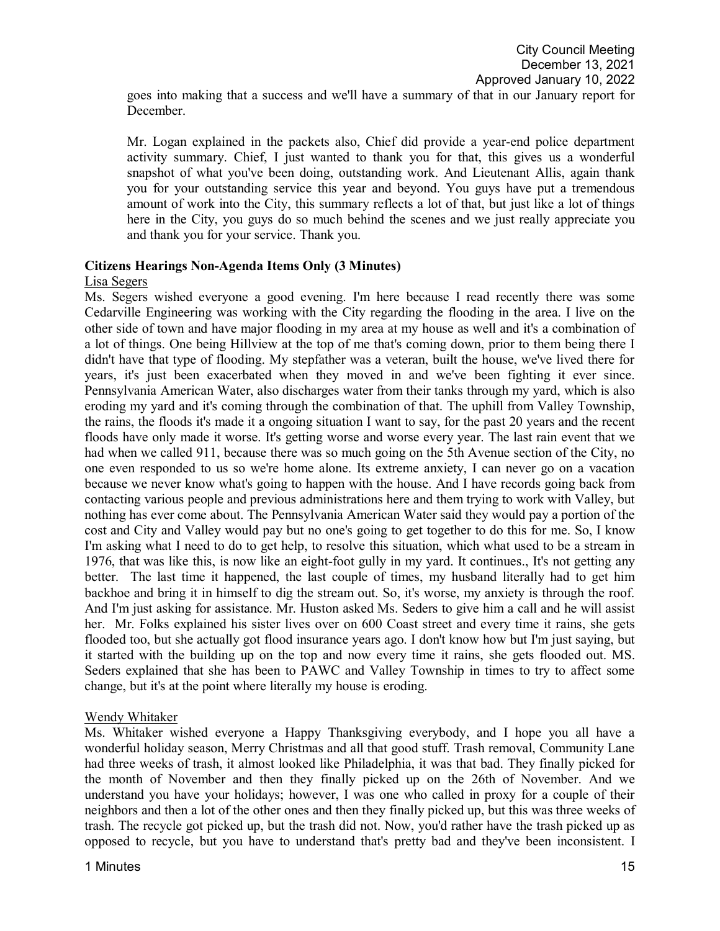Mr. Logan explained in the packets also, Chief did provide a year-end police department activity summary. Chief, I just wanted to thank you for that, this gives us a wonderful snapshot of what you've been doing, outstanding work. And Lieutenant Allis, again thank you for your outstanding service this year and beyond. You guys have put a tremendous amount of work into the City, this summary reflects a lot of that, but just like a lot of things here in the City, you guys do so much behind the scenes and we just really appreciate you and thank you for your service. Thank you.

## **Citizens Hearings Non-Agenda Items Only (3 Minutes)**

## Lisa Segers

December.

Ms. Segers wished everyone a good evening. I'm here because I read recently there was some Cedarville Engineering was working with the City regarding the flooding in the area. I live on the other side of town and have major flooding in my area at my house as well and it's a combination of a lot of things. One being Hillview at the top of me that's coming down, prior to them being there I didn't have that type of flooding. My stepfather was a veteran, built the house, we've lived there for years, it's just been exacerbated when they moved in and we've been fighting it ever since. Pennsylvania American Water, also discharges water from their tanks through my yard, which is also eroding my yard and it's coming through the combination of that. The uphill from Valley Township, the rains, the floods it's made it a ongoing situation I want to say, for the past 20 years and the recent floods have only made it worse. It's getting worse and worse every year. The last rain event that we had when we called 911, because there was so much going on the 5th Avenue section of the City, no one even responded to us so we're home alone. Its extreme anxiety, I can never go on a vacation because we never know what's going to happen with the house. And I have records going back from contacting various people and previous administrations here and them trying to work with Valley, but nothing has ever come about. The Pennsylvania American Water said they would pay a portion of the cost and City and Valley would pay but no one's going to get together to do this for me. So, I know I'm asking what I need to do to get help, to resolve this situation, which what used to be a stream in 1976, that was like this, is now like an eight-foot gully in my yard. It continues., It's not getting any better. The last time it happened, the last couple of times, my husband literally had to get him backhoe and bring it in himself to dig the stream out. So, it's worse, my anxiety is through the roof. And I'm just asking for assistance. Mr. Huston asked Ms. Seders to give him a call and he will assist her. Mr. Folks explained his sister lives over on 600 Coast street and every time it rains, she gets flooded too, but she actually got flood insurance years ago. I don't know how but I'm just saying, but it started with the building up on the top and now every time it rains, she gets flooded out. MS. Seders explained that she has been to PAWC and Valley Township in times to try to affect some change, but it's at the point where literally my house is eroding.

## Wendy Whitaker

Ms. Whitaker wished everyone a Happy Thanksgiving everybody, and I hope you all have a wonderful holiday season, Merry Christmas and all that good stuff. Trash removal, Community Lane had three weeks of trash, it almost looked like Philadelphia, it was that bad. They finally picked for the month of November and then they finally picked up on the 26th of November. And we understand you have your holidays; however, I was one who called in proxy for a couple of their neighbors and then a lot of the other ones and then they finally picked up, but this was three weeks of trash. The recycle got picked up, but the trash did not. Now, you'd rather have the trash picked up as opposed to recycle, but you have to understand that's pretty bad and they've been inconsistent. I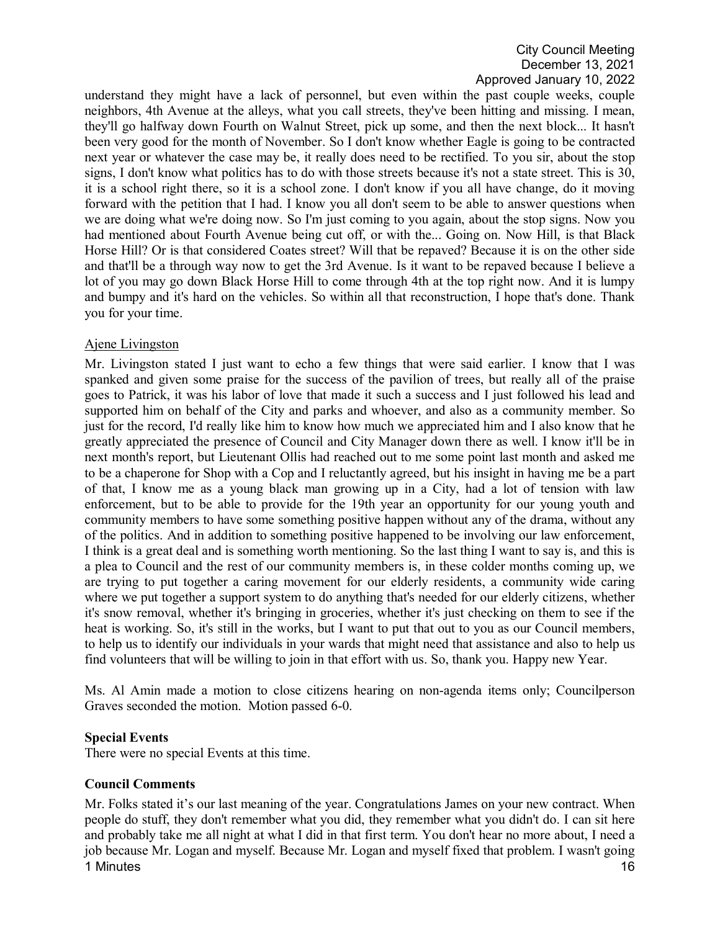understand they might have a lack of personnel, but even within the past couple weeks, couple neighbors, 4th Avenue at the alleys, what you call streets, they've been hitting and missing. I mean, they'll go halfway down Fourth on Walnut Street, pick up some, and then the next block... It hasn't been very good for the month of November. So I don't know whether Eagle is going to be contracted next year or whatever the case may be, it really does need to be rectified. To you sir, about the stop signs, I don't know what politics has to do with those streets because it's not a state street. This is 30, it is a school right there, so it is a school zone. I don't know if you all have change, do it moving forward with the petition that I had. I know you all don't seem to be able to answer questions when we are doing what we're doing now. So I'm just coming to you again, about the stop signs. Now you had mentioned about Fourth Avenue being cut off, or with the... Going on. Now Hill, is that Black Horse Hill? Or is that considered Coates street? Will that be repaved? Because it is on the other side and that'll be a through way now to get the 3rd Avenue. Is it want to be repaved because I believe a lot of you may go down Black Horse Hill to come through 4th at the top right now. And it is lumpy and bumpy and it's hard on the vehicles. So within all that reconstruction, I hope that's done. Thank you for your time.

#### Ajene Livingston

Mr. Livingston stated I just want to echo a few things that were said earlier. I know that I was spanked and given some praise for the success of the pavilion of trees, but really all of the praise goes to Patrick, it was his labor of love that made it such a success and I just followed his lead and supported him on behalf of the City and parks and whoever, and also as a community member. So just for the record, I'd really like him to know how much we appreciated him and I also know that he greatly appreciated the presence of Council and City Manager down there as well. I know it'll be in next month's report, but Lieutenant Ollis had reached out to me some point last month and asked me to be a chaperone for Shop with a Cop and I reluctantly agreed, but his insight in having me be a part of that, I know me as a young black man growing up in a City, had a lot of tension with law enforcement, but to be able to provide for the 19th year an opportunity for our young youth and community members to have some something positive happen without any of the drama, without any of the politics. And in addition to something positive happened to be involving our law enforcement, I think is a great deal and is something worth mentioning. So the last thing I want to say is, and this is a plea to Council and the rest of our community members is, in these colder months coming up, we are trying to put together a caring movement for our elderly residents, a community wide caring where we put together a support system to do anything that's needed for our elderly citizens, whether it's snow removal, whether it's bringing in groceries, whether it's just checking on them to see if the heat is working. So, it's still in the works, but I want to put that out to you as our Council members, to help us to identify our individuals in your wards that might need that assistance and also to help us find volunteers that will be willing to join in that effort with us. So, thank you. Happy new Year.

Ms. Al Amin made a motion to close citizens hearing on non-agenda items only; Councilperson Graves seconded the motion. Motion passed 6-0.

## **Special Events**

There were no special Events at this time.

## **Council Comments**

1 Minutes **16** Mr. Folks stated it's our last meaning of the year. Congratulations James on your new contract. When people do stuff, they don't remember what you did, they remember what you didn't do. I can sit here and probably take me all night at what I did in that first term. You don't hear no more about, I need a job because Mr. Logan and myself. Because Mr. Logan and myself fixed that problem. I wasn't going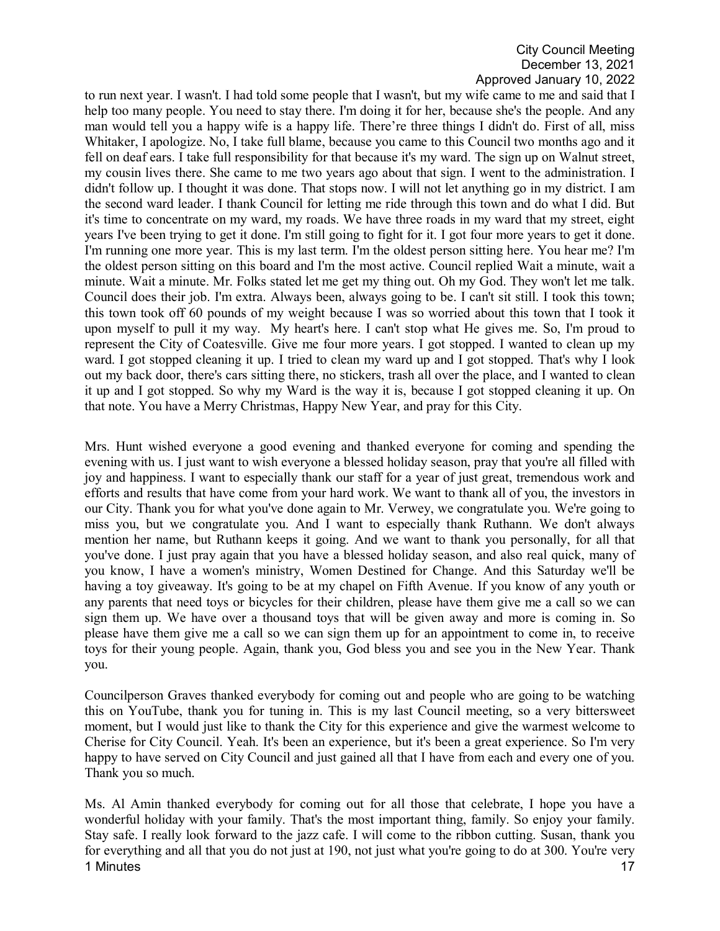to run next year. I wasn't. I had told some people that I wasn't, but my wife came to me and said that I help too many people. You need to stay there. I'm doing it for her, because she's the people. And any man would tell you a happy wife is a happy life. There're three things I didn't do. First of all, miss Whitaker, I apologize. No, I take full blame, because you came to this Council two months ago and it fell on deaf ears. I take full responsibility for that because it's my ward. The sign up on Walnut street, my cousin lives there. She came to me two years ago about that sign. I went to the administration. I didn't follow up. I thought it was done. That stops now. I will not let anything go in my district. I am the second ward leader. I thank Council for letting me ride through this town and do what I did. But it's time to concentrate on my ward, my roads. We have three roads in my ward that my street, eight years I've been trying to get it done. I'm still going to fight for it. I got four more years to get it done. I'm running one more year. This is my last term. I'm the oldest person sitting here. You hear me? I'm the oldest person sitting on this board and I'm the most active. Council replied Wait a minute, wait a minute. Wait a minute. Mr. Folks stated let me get my thing out. Oh my God. They won't let me talk. Council does their job. I'm extra. Always been, always going to be. I can't sit still. I took this town; this town took off 60 pounds of my weight because I was so worried about this town that I took it upon myself to pull it my way. My heart's here. I can't stop what He gives me. So, I'm proud to represent the City of Coatesville. Give me four more years. I got stopped. I wanted to clean up my ward. I got stopped cleaning it up. I tried to clean my ward up and I got stopped. That's why I look out my back door, there's cars sitting there, no stickers, trash all over the place, and I wanted to clean it up and I got stopped. So why my Ward is the way it is, because I got stopped cleaning it up. On that note. You have a Merry Christmas, Happy New Year, and pray for this City.

Mrs. Hunt wished everyone a good evening and thanked everyone for coming and spending the evening with us. I just want to wish everyone a blessed holiday season, pray that you're all filled with joy and happiness. I want to especially thank our staff for a year of just great, tremendous work and efforts and results that have come from your hard work. We want to thank all of you, the investors in our City. Thank you for what you've done again to Mr. Verwey, we congratulate you. We're going to miss you, but we congratulate you. And I want to especially thank Ruthann. We don't always mention her name, but Ruthann keeps it going. And we want to thank you personally, for all that you've done. I just pray again that you have a blessed holiday season, and also real quick, many of you know, I have a women's ministry, Women Destined for Change. And this Saturday we'll be having a toy giveaway. It's going to be at my chapel on Fifth Avenue. If you know of any youth or any parents that need toys or bicycles for their children, please have them give me a call so we can sign them up. We have over a thousand toys that will be given away and more is coming in. So please have them give me a call so we can sign them up for an appointment to come in, to receive toys for their young people. Again, thank you, God bless you and see you in the New Year. Thank you.

Councilperson Graves thanked everybody for coming out and people who are going to be watching this on YouTube, thank you for tuning in. This is my last Council meeting, so a very bittersweet moment, but I would just like to thank the City for this experience and give the warmest welcome to Cherise for City Council. Yeah. It's been an experience, but it's been a great experience. So I'm very happy to have served on City Council and just gained all that I have from each and every one of you. Thank you so much.

1 Minutes **17** Ms. Al Amin thanked everybody for coming out for all those that celebrate, I hope you have a wonderful holiday with your family. That's the most important thing, family. So enjoy your family. Stay safe. I really look forward to the jazz cafe. I will come to the ribbon cutting. Susan, thank you for everything and all that you do not just at 190, not just what you're going to do at 300. You're very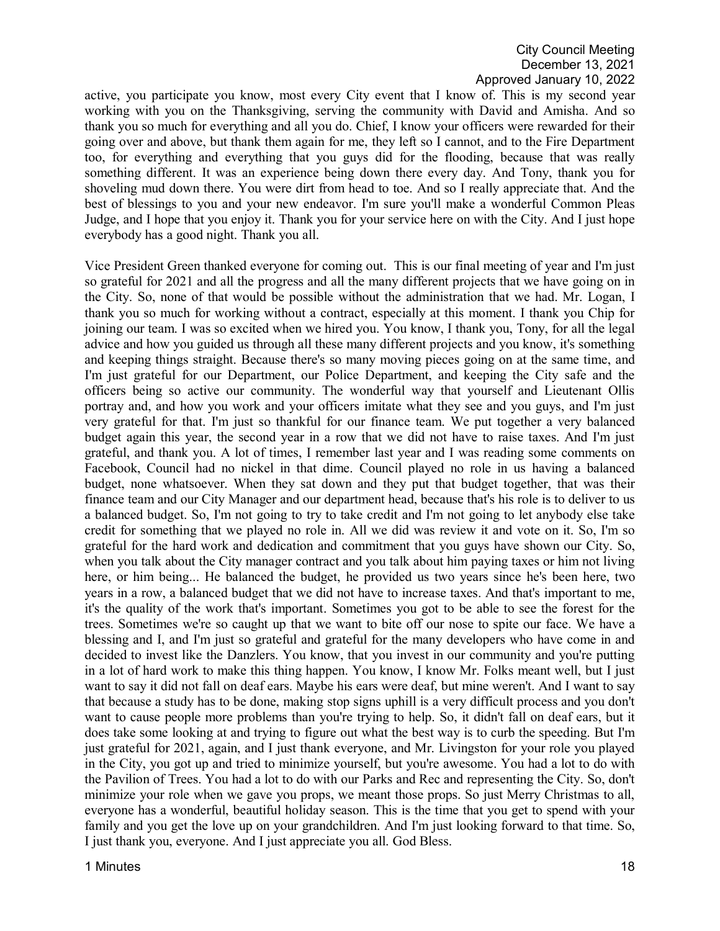active, you participate you know, most every City event that I know of. This is my second year working with you on the Thanksgiving, serving the community with David and Amisha. And so thank you so much for everything and all you do. Chief, I know your officers were rewarded for their going over and above, but thank them again for me, they left so I cannot, and to the Fire Department too, for everything and everything that you guys did for the flooding, because that was really something different. It was an experience being down there every day. And Tony, thank you for shoveling mud down there. You were dirt from head to toe. And so I really appreciate that. And the best of blessings to you and your new endeavor. I'm sure you'll make a wonderful Common Pleas Judge, and I hope that you enjoy it. Thank you for your service here on with the City. And I just hope everybody has a good night. Thank you all.

Vice President Green thanked everyone for coming out. This is our final meeting of year and I'm just so grateful for 2021 and all the progress and all the many different projects that we have going on in the City. So, none of that would be possible without the administration that we had. Mr. Logan, I thank you so much for working without a contract, especially at this moment. I thank you Chip for joining our team. I was so excited when we hired you. You know, I thank you, Tony, for all the legal advice and how you guided us through all these many different projects and you know, it's something and keeping things straight. Because there's so many moving pieces going on at the same time, and I'm just grateful for our Department, our Police Department, and keeping the City safe and the officers being so active our community. The wonderful way that yourself and Lieutenant Ollis portray and, and how you work and your officers imitate what they see and you guys, and I'm just very grateful for that. I'm just so thankful for our finance team. We put together a very balanced budget again this year, the second year in a row that we did not have to raise taxes. And I'm just grateful, and thank you. A lot of times, I remember last year and I was reading some comments on Facebook, Council had no nickel in that dime. Council played no role in us having a balanced budget, none whatsoever. When they sat down and they put that budget together, that was their finance team and our City Manager and our department head, because that's his role is to deliver to us a balanced budget. So, I'm not going to try to take credit and I'm not going to let anybody else take credit for something that we played no role in. All we did was review it and vote on it. So, I'm so grateful for the hard work and dedication and commitment that you guys have shown our City. So, when you talk about the City manager contract and you talk about him paying taxes or him not living here, or him being... He balanced the budget, he provided us two years since he's been here, two years in a row, a balanced budget that we did not have to increase taxes. And that's important to me, it's the quality of the work that's important. Sometimes you got to be able to see the forest for the trees. Sometimes we're so caught up that we want to bite off our nose to spite our face. We have a blessing and I, and I'm just so grateful and grateful for the many developers who have come in and decided to invest like the Danzlers. You know, that you invest in our community and you're putting in a lot of hard work to make this thing happen. You know, I know Mr. Folks meant well, but I just want to say it did not fall on deaf ears. Maybe his ears were deaf, but mine weren't. And I want to say that because a study has to be done, making stop signs uphill is a very difficult process and you don't want to cause people more problems than you're trying to help. So, it didn't fall on deaf ears, but it does take some looking at and trying to figure out what the best way is to curb the speeding. But I'm just grateful for 2021, again, and I just thank everyone, and Mr. Livingston for your role you played in the City, you got up and tried to minimize yourself, but you're awesome. You had a lot to do with the Pavilion of Trees. You had a lot to do with our Parks and Rec and representing the City. So, don't minimize your role when we gave you props, we meant those props. So just Merry Christmas to all, everyone has a wonderful, beautiful holiday season. This is the time that you get to spend with your family and you get the love up on your grandchildren. And I'm just looking forward to that time. So, I just thank you, everyone. And I just appreciate you all. God Bless.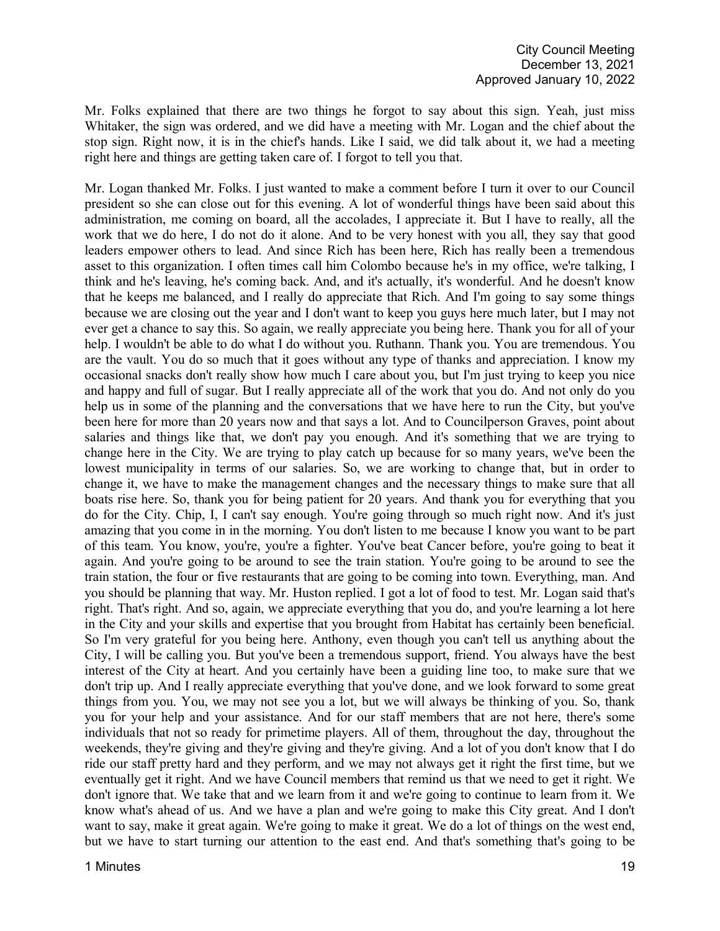Mr. Folks explained that there are two things he forgot to say about this sign. Yeah, just miss Whitaker, the sign was ordered, and we did have a meeting with Mr. Logan and the chief about the stop sign. Right now, it is in the chief's hands. Like I said, we did talk about it, we had a meeting right here and things are getting taken care of. I forgot to tell you that.

Mr. Logan thanked Mr. Folks. I just wanted to make a comment before I turn it over to our Council president so she can close out for this evening. A lot of wonderful things have been said about this administration, me coming on board, all the accolades, I appreciate it. But I have to really, all the work that we do here, I do not do it alone. And to be very honest with you all, they say that good leaders empower others to lead. And since Rich has been here, Rich has really been a tremendous asset to this organization. I often times call him Colombo because he's in my office, we're talking, I think and he's leaving, he's coming back. And, and it's actually, it's wonderful. And he doesn't know that he keeps me balanced, and I really do appreciate that Rich. And I'm going to say some things because we are closing out the year and I don't want to keep you guys here much later, but I may not ever get a chance to say this. So again, we really appreciate you being here. Thank you for all of your help. I wouldn't be able to do what I do without you. Ruthann. Thank you. You are tremendous. You are the vault. You do so much that it goes without any type of thanks and appreciation. I know my occasional snacks don't really show how much I care about you, but I'm just trying to keep you nice and happy and full of sugar. But I really appreciate all of the work that you do. And not only do you help us in some of the planning and the conversations that we have here to run the City, but you've been here for more than 20 years now and that says a lot. And to Councilperson Graves, point about salaries and things like that, we don't pay you enough. And it's something that we are trying to change here in the City. We are trying to play catch up because for so many years, we've been the lowest municipality in terms of our salaries. So, we are working to change that, but in order to change it, we have to make the management changes and the necessary things to make sure that all boats rise here. So, thank you for being patient for 20 years. And thank you for everything that you do for the City. Chip, I, I can't say enough. You're going through so much right now. And it's just amazing that you come in in the morning. You don't listen to me because I know you want to be part of this team. You know, you're, you're a fighter. You've beat Cancer before, you're going to beat it again. And you're going to be around to see the train station. You're going to be around to see the train station, the four or five restaurants that are going to be coming into town. Everything, man. And you should be planning that way. Mr. Huston replied. I got a lot of food to test. Mr. Logan said that's right. That's right. And so, again, we appreciate everything that you do, and you're learning a lot here in the City and your skills and expertise that you brought from Habitat has certainly been beneficial. So I'm very grateful for you being here. Anthony, even though you can't tell us anything about the City, I will be calling you. But you've been a tremendous support, friend. You always have the best interest of the City at heart. And you certainly have been a guiding line too, to make sure that we don't trip up. And I really appreciate everything that you've done, and we look forward to some great things from you. You, we may not see you a lot, but we will always be thinking of you. So, thank you for your help and your assistance. And for our staff members that are not here, there's some individuals that not so ready for primetime players. All of them, throughout the day, throughout the weekends, they're giving and they're giving and they're giving. And a lot of you don't know that I do ride our staff pretty hard and they perform, and we may not always get it right the first time, but we eventually get it right. And we have Council members that remind us that we need to get it right. We don't ignore that. We take that and we learn from it and we're going to continue to learn from it. We know what's ahead of us. And we have a plan and we're going to make this City great. And I don't want to say, make it great again. We're going to make it great. We do a lot of things on the west end, but we have to start turning our attention to the east end. And that's something that's going to be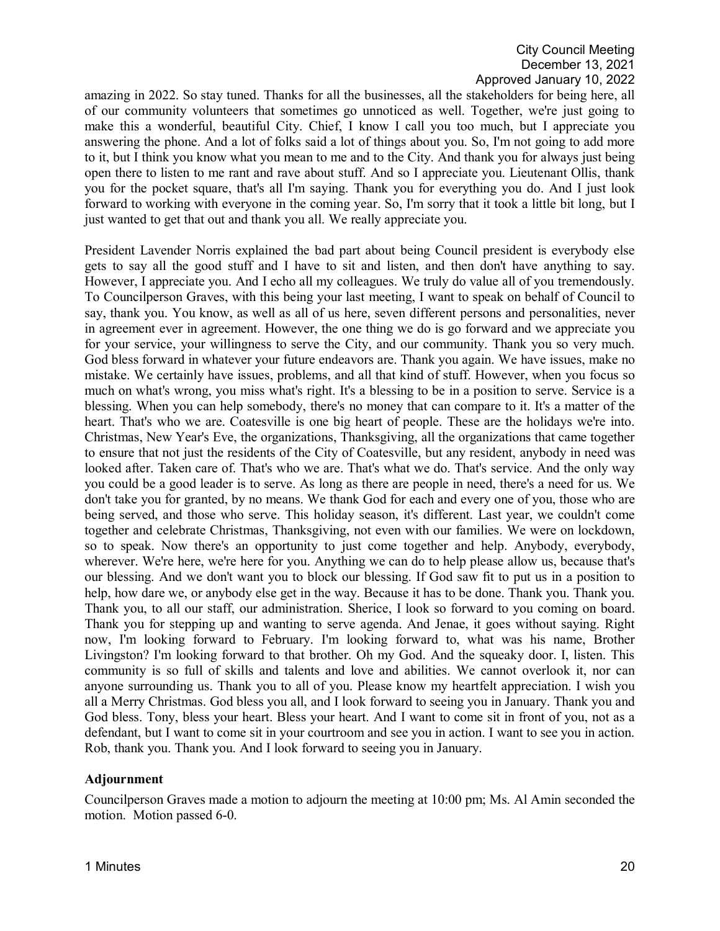amazing in 2022. So stay tuned. Thanks for all the businesses, all the stakeholders for being here, all of our community volunteers that sometimes go unnoticed as well. Together, we're just going to make this a wonderful, beautiful City. Chief, I know I call you too much, but I appreciate you answering the phone. And a lot of folks said a lot of things about you. So, I'm not going to add more to it, but I think you know what you mean to me and to the City. And thank you for always just being open there to listen to me rant and rave about stuff. And so I appreciate you. Lieutenant Ollis, thank you for the pocket square, that's all I'm saying. Thank you for everything you do. And I just look forward to working with everyone in the coming year. So, I'm sorry that it took a little bit long, but I just wanted to get that out and thank you all. We really appreciate you.

President Lavender Norris explained the bad part about being Council president is everybody else gets to say all the good stuff and I have to sit and listen, and then don't have anything to say. However, I appreciate you. And I echo all my colleagues. We truly do value all of you tremendously. To Councilperson Graves, with this being your last meeting, I want to speak on behalf of Council to say, thank you. You know, as well as all of us here, seven different persons and personalities, never in agreement ever in agreement. However, the one thing we do is go forward and we appreciate you for your service, your willingness to serve the City, and our community. Thank you so very much. God bless forward in whatever your future endeavors are. Thank you again. We have issues, make no mistake. We certainly have issues, problems, and all that kind of stuff. However, when you focus so much on what's wrong, you miss what's right. It's a blessing to be in a position to serve. Service is a blessing. When you can help somebody, there's no money that can compare to it. It's a matter of the heart. That's who we are. Coatesville is one big heart of people. These are the holidays we're into. Christmas, New Year's Eve, the organizations, Thanksgiving, all the organizations that came together to ensure that not just the residents of the City of Coatesville, but any resident, anybody in need was looked after. Taken care of. That's who we are. That's what we do. That's service. And the only way you could be a good leader is to serve. As long as there are people in need, there's a need for us. We don't take you for granted, by no means. We thank God for each and every one of you, those who are being served, and those who serve. This holiday season, it's different. Last year, we couldn't come together and celebrate Christmas, Thanksgiving, not even with our families. We were on lockdown, so to speak. Now there's an opportunity to just come together and help. Anybody, everybody, wherever. We're here, we're here for you. Anything we can do to help please allow us, because that's our blessing. And we don't want you to block our blessing. If God saw fit to put us in a position to help, how dare we, or anybody else get in the way. Because it has to be done. Thank you. Thank you. Thank you, to all our staff, our administration. Sherice, I look so forward to you coming on board. Thank you for stepping up and wanting to serve agenda. And Jenae, it goes without saying. Right now, I'm looking forward to February. I'm looking forward to, what was his name, Brother Livingston? I'm looking forward to that brother. Oh my God. And the squeaky door. I, listen. This community is so full of skills and talents and love and abilities. We cannot overlook it, nor can anyone surrounding us. Thank you to all of you. Please know my heartfelt appreciation. I wish you all a Merry Christmas. God bless you all, and I look forward to seeing you in January. Thank you and God bless. Tony, bless your heart. Bless your heart. And I want to come sit in front of you, not as a defendant, but I want to come sit in your courtroom and see you in action. I want to see you in action. Rob, thank you. Thank you. And I look forward to seeing you in January.

#### **Adjournment**

Councilperson Graves made a motion to adjourn the meeting at 10:00 pm; Ms. Al Amin seconded the motion. Motion passed 6-0.